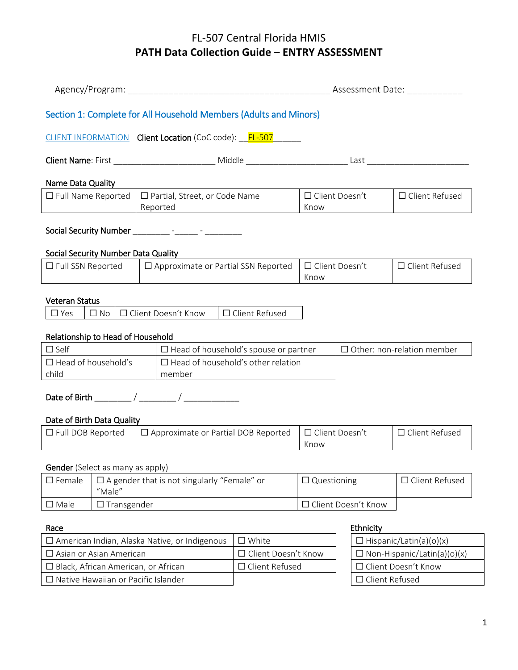|                                                                                                                      |  |  |                                                                                                                                                                                                                                                                                     |                  |                               |                                    | Assessment Date:                  |
|----------------------------------------------------------------------------------------------------------------------|--|--|-------------------------------------------------------------------------------------------------------------------------------------------------------------------------------------------------------------------------------------------------------------------------------------|------------------|-------------------------------|------------------------------------|-----------------------------------|
|                                                                                                                      |  |  | Section 1: Complete for All Household Members (Adults and Minors)                                                                                                                                                                                                                   |                  |                               |                                    |                                   |
|                                                                                                                      |  |  | CLIENT INFORMATION    Client Location (CoC code):    FL-507                                                                                                                                                                                                                         |                  |                               |                                    |                                   |
|                                                                                                                      |  |  |                                                                                                                                                                                                                                                                                     |                  |                               |                                    |                                   |
| Name Data Quality                                                                                                    |  |  |                                                                                                                                                                                                                                                                                     |                  |                               |                                    |                                   |
| $\Box$ Full Name Reported                                                                                            |  |  | □ Partial, Street, or Code Name<br>Reported<br><u>and the state of the state of the state of the state of the state of the state of the state of the state of the state of the state of the state of the state of the state of the state of the state of the state of the state</u> |                  | $\Box$ Client Doesn't<br>Know |                                    | □ Client Refused                  |
|                                                                                                                      |  |  | Social Security Number __________ - ______ - ________                                                                                                                                                                                                                               |                  |                               |                                    |                                   |
| Social Security Number Data Quality                                                                                  |  |  |                                                                                                                                                                                                                                                                                     |                  |                               |                                    |                                   |
| $\Box$ Full SSN Reported                                                                                             |  |  | $\Box$ Approximate or Partial SSN Reported                                                                                                                                                                                                                                          |                  | □ Client Doesn't<br>Know      |                                    | $\Box$ Client Refused             |
| <b>Veteran Status</b>                                                                                                |  |  |                                                                                                                                                                                                                                                                                     |                  |                               |                                    |                                   |
| $\square$ Yes                                                                                                        |  |  | $\Box$ No $\Box$ Client Doesn't Know                                                                                                                                                                                                                                                | □ Client Refused |                               |                                    |                                   |
|                                                                                                                      |  |  |                                                                                                                                                                                                                                                                                     |                  |                               |                                    |                                   |
| Relationship to Head of Household<br>$\Box$ Self                                                                     |  |  | $\Box$ Head of household's spouse or partner                                                                                                                                                                                                                                        |                  |                               |                                    | $\Box$ Other: non-relation member |
| $\Box$ Head of household's                                                                                           |  |  | $\Box$ Head of household's other relation                                                                                                                                                                                                                                           |                  |                               |                                    |                                   |
| child                                                                                                                |  |  | member                                                                                                                                                                                                                                                                              |                  |                               |                                    |                                   |
|                                                                                                                      |  |  |                                                                                                                                                                                                                                                                                     |                  |                               |                                    |                                   |
|                                                                                                                      |  |  |                                                                                                                                                                                                                                                                                     |                  |                               |                                    |                                   |
| Date of Birth Data Quality<br>$\Box$ Full DOB Reported<br>$\Box$ Approximate or Partial DOB Reported                 |  |  | □ Client Doesn't<br>Know                                                                                                                                                                                                                                                            |                  | □ Client Refused              |                                    |                                   |
|                                                                                                                      |  |  |                                                                                                                                                                                                                                                                                     |                  |                               |                                    |                                   |
| Gender (Select as many as apply)<br>$\square$ Female<br>$\Box$ A gender that is not singularly "Female" or<br>"Male" |  |  | $\Box$ Questioning                                                                                                                                                                                                                                                                  |                  | □ Client Refused              |                                    |                                   |
| $\Box$ Transgender<br>$\square$ Male                                                                                 |  |  | □ Client Doesn't Know                                                                                                                                                                                                                                                               |                  |                               |                                    |                                   |
|                                                                                                                      |  |  |                                                                                                                                                                                                                                                                                     |                  |                               |                                    |                                   |
| Race                                                                                                                 |  |  |                                                                                                                                                                                                                                                                                     | $\square$ White  |                               | Ethnicity                          | $\Box$ Hispanic/Latin(a)(o)(x)    |
| $\Box$ American Indian, Alaska Native, or Indigenous<br>$\square$ Asian or Asian American                            |  |  | Client Doesn't Know                                                                                                                                                                                                                                                                 |                  |                               | $\Box$ Non-Hispanic/Latin(a)(o)(x) |                                   |
| □ Black, African American, or African                                                                                |  |  |                                                                                                                                                                                                                                                                                     | □ Client Refused |                               |                                    | Client Doesn't Know               |
|                                                                                                                      |  |  | $\Box$ Native Hawaiian or Pacific Islander                                                                                                                                                                                                                                          |                  |                               | □ Client Refused                   |                                   |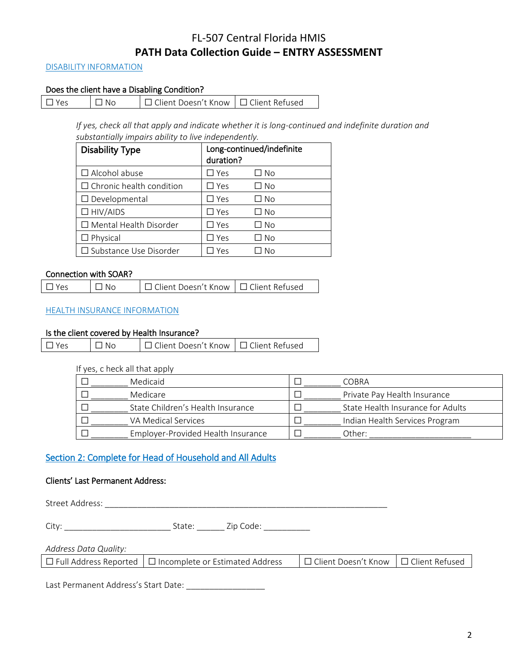#### DISABILITY INFORMATION

## Does the client have a Disabling Condition?

| $\Box$ Yes | $\Box$ No | □ Client Doesn't Know   □ Client Refused |  |
|------------|-----------|------------------------------------------|--|
|------------|-----------|------------------------------------------|--|

*If yes, check all that apply and indicate whether it is long-continued and indefinite duration and substantially impairs ability to live independently.*

| <b>Disability Type</b>          | duration?     | Long-continued/indefinite |
|---------------------------------|---------------|---------------------------|
| $\Box$ Alcohol abuse            | $\Box$ Yes    | □ No                      |
| $\Box$ Chronic health condition | $\square$ Yes | $\Box$ No                 |
| $\Box$ Developmental            | $\square$ Yes | □ No                      |
| $\Box$ HIV/AIDS                 | $\square$ Yes | □ No                      |
| $\Box$ Mental Health Disorder   | $\Box$ Yes    | $\square$ No              |
| $\Box$ Physical                 | $\Box$ Yes    | $\Box$ No                 |
| □ Substance Use Disorder        | Yes           | No                        |

#### Connection with SOAR?

#### HEALTH INSURANCE INFORMATION

#### Is the client covered by Health Insurance?

| $\Box$ Yes<br>$\Box$ No | □ Client Doesn't Know   □ Client Refused |  |
|-------------------------|------------------------------------------|--|
|-------------------------|------------------------------------------|--|

#### If yes, c heck all that apply

| Medicaid                           | <b>COBRA</b>                      |
|------------------------------------|-----------------------------------|
| Medicare                           | Private Pay Health Insurance      |
| State Children's Health Insurance  | State Health Insurance for Adults |
| VA Medical Services                | Indian Health Services Program    |
| Employer-Provided Health Insurance | Other:                            |

# Section 2: Complete for Head of Household and All Adults

### Clients' Last Permanent Address:

Street Address: \_\_\_\_\_\_\_\_\_\_\_\_\_\_\_\_\_\_\_\_\_\_\_\_\_\_\_\_\_\_\_\_\_\_\_\_\_\_\_\_\_\_\_\_\_\_\_\_\_\_\_\_\_\_\_\_\_\_\_\_\_

City: \_\_\_\_\_\_\_\_\_\_\_\_\_\_\_\_\_\_\_\_\_\_\_ State: \_\_\_\_\_\_ Zip Code: \_\_\_\_\_\_\_\_\_\_

| Address Data Quality: |  |
|-----------------------|--|
|-----------------------|--|

| $\Box$ Full Address Reported $\Box$ Incomplete or Estimated Address | │ □ Client Doesn't Know │ □ Client Refused |  |
|---------------------------------------------------------------------|--------------------------------------------|--|
|---------------------------------------------------------------------|--------------------------------------------|--|

Last Permanent Address's Start Date: \_\_\_\_\_\_\_\_\_\_\_\_\_\_\_\_\_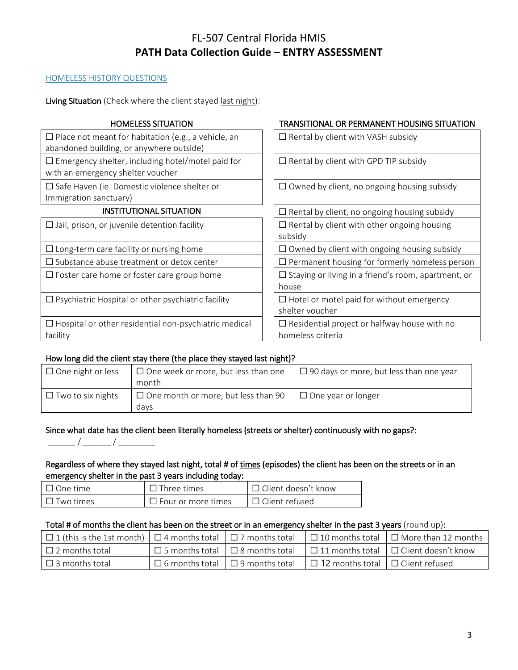### HOMELESS HISTORY QUESTIONS

Living Situation (Check where the client stayed last night):

| <b>HOMELESS SITUATION</b>                                                                              | TRANSITIONAL OR PERMANENT HOUSING SITUATION                         |
|--------------------------------------------------------------------------------------------------------|---------------------------------------------------------------------|
| $\Box$ Place not meant for habitation (e.g., a vehicle, an<br>abandoned building, or anywhere outside) | $\Box$ Rental by client with VASH subsidy                           |
| $\Box$ Emergency shelter, including hotel/motel paid for<br>with an emergency shelter voucher          | $\Box$ Rental by client with GPD TIP subsidy                        |
| $\square$ Safe Haven (ie. Domestic violence shelter or<br>Immigration sanctuary)                       | $\Box$ Owned by client, no ongoing housing subsidy                  |
| <b>INSTITUTIONAL SITUATION</b>                                                                         | $\Box$ Rental by client, no ongoing housing subsidy                 |
| $\Box$ Jail, prison, or juvenile detention facility                                                    | $\Box$ Rental by client with other ongoing housing<br>subsidy       |
| $\Box$ Long-term care facility or nursing home                                                         | $\Box$ Owned by client with ongoing housing subsidy                 |
| $\Box$ Substance abuse treatment or detox center                                                       | $\Box$ Permanent housing for formerly homeless person               |
| $\Box$ Foster care home or foster care group home                                                      | $\Box$ Staying or living in a friend's room, apartment, or<br>house |
| $\Box$ Psychiatric Hospital or other psychiatric facility                                              | $\Box$ Hotel or motel paid for without emergency<br>shelter voucher |
| $\Box$ Hospital or other residential non-psychiatric medical                                           | $\Box$ Residential project or halfway house with no                 |
| facility                                                                                               | homeless criteria                                                   |

# How long did the client stay there (the place they stayed last night)?

| $\Box$ One night or less | $\Box$ One week or more, but less than one         | $\Box$ 90 days or more, but less than one year |  |  |  |
|--------------------------|----------------------------------------------------|------------------------------------------------|--|--|--|
|                          | month                                              |                                                |  |  |  |
| $\Box$ Two to six nights | $\Box$ One month or more, but less than 90<br>davs | $\Box$ One year or longer                      |  |  |  |
|                          |                                                    |                                                |  |  |  |

# Since what date has the client been literally homeless (streets or shelter) continuously with no gaps?:

# Regardless of where they stayed last night, total # of times (episodes) the client has been on the streets or in an emergency shelter in the past 3 years including today:

| ∣ ∏ One time     | $\Box$ Three times        | $\Box$ Client doesn't know |
|------------------|---------------------------|----------------------------|
| $\Box$ Two times | $\Box$ Four or more times | $\Box$ Client refused      |

#### Total # of months the client has been on the street or in an emergency shelter in the past 3 years (round up):

| $\Box$ 1 (this is the 1st month) $\Box$ 4 months total $\Box$ 7 months total |                                             |                                              | $\Box$ 10 months total $\Box$ More than 12 months                                             |
|------------------------------------------------------------------------------|---------------------------------------------|----------------------------------------------|-----------------------------------------------------------------------------------------------|
| $\Box$ 2 months total                                                        |                                             |                                              | $\Box$ 5 months total $\Box$ 8 months total $\Box$ 11 months total $\Box$ Client doesn't know |
| $\Box$ 3 months total                                                        | $\Box$ 6 months total $\Box$ 9 months total | $\Box$ 12 months total $\Box$ Client refused |                                                                                               |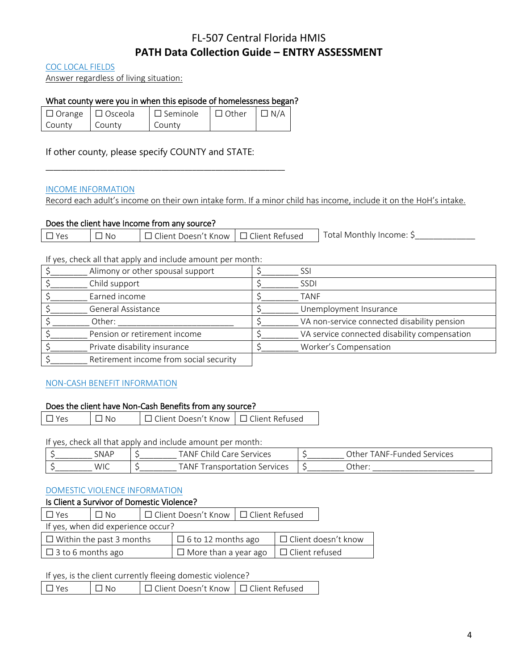COC LOCAL FIELDS

Answer regardless of living situation:

## What county were you in when this episode of homelessness began?

|        | $\Box$ Orange $\Box$ Osceola | $\Box$ Seminole $\Box$ Other $\Box$ N/A |  |
|--------|------------------------------|-----------------------------------------|--|
| County | County                       | County                                  |  |

\_\_\_\_\_\_\_\_\_\_\_\_\_\_\_\_\_\_\_\_\_\_\_\_\_\_\_\_\_\_\_\_\_\_\_\_\_\_\_\_\_\_\_\_\_\_\_\_\_\_\_\_\_\_\_\_\_\_\_\_\_\_

If other county, please specify COUNTY and STATE:

### INCOME INFORMATION

Record each adult's income on their own intake form. If a minor child has income, include it on the HoH's intake.

## Does the client have Income from any source?

|  | $V_{AC}$ | No | □ Client Doesn't Know   □ Client Refused |  | . : Total Monthly Income |
|--|----------|----|------------------------------------------|--|--------------------------|
|--|----------|----|------------------------------------------|--|--------------------------|

If yes, check all that apply and include amount per month:

| Alimony or other spousal support       | SSI                                          |
|----------------------------------------|----------------------------------------------|
| Child support                          | <b>SSDI</b>                                  |
| Earned income                          | TANF                                         |
| General Assistance                     | Unemployment Insurance                       |
| Other:                                 | VA non-service connected disability pension  |
| Pension or retirement income           | VA service connected disability compensation |
| Private disability insurance           | Worker's Compensation                        |
| Retirement income from social security |                                              |

# NON-CASH BENEFIT INFORMATION

### Does the client have Non-Cash Benefits from any source?

| $\Box$ Yes | $\Box$ No | □ Client Doesn't Know   □ Client Refused |  |
|------------|-----------|------------------------------------------|--|
|------------|-----------|------------------------------------------|--|

If yes, check all that apply and include amount per month:

| <b>SNAP</b> | <b>TANF</b><br>Chila<br>Services<br>Care | FANF-Funded<br>Other<br>Services |
|-------------|------------------------------------------|----------------------------------|
| WIC         | <b>TANF</b><br>Services<br>ransportation | Other:                           |

#### DOMESTIC VIOLENCE INFORMATION

### Is Client a Survivor of Domestic Violence?

| Yes                                | $\Box$ No |                             | □ Client Doesn't Know   □ Client Refused |                            |  |  |
|------------------------------------|-----------|-----------------------------|------------------------------------------|----------------------------|--|--|
| If yes, when did experience occur? |           |                             |                                          |                            |  |  |
| $\Box$ Within the past 3 months    |           | $\Box$ 6 to 12 months ago   |                                          | $\Box$ Client doesn't know |  |  |
| $\Box$ 3 to 6 months ago           |           | $\Box$ More than a year ago |                                          | $\Box$ Client refused      |  |  |

#### If yes, is the client currently fleeing domestic violence?

| □ Client Doesn't Know I □ Client Refused<br>$\Box$ Yes<br>$\Box$ No |
|---------------------------------------------------------------------|
|---------------------------------------------------------------------|